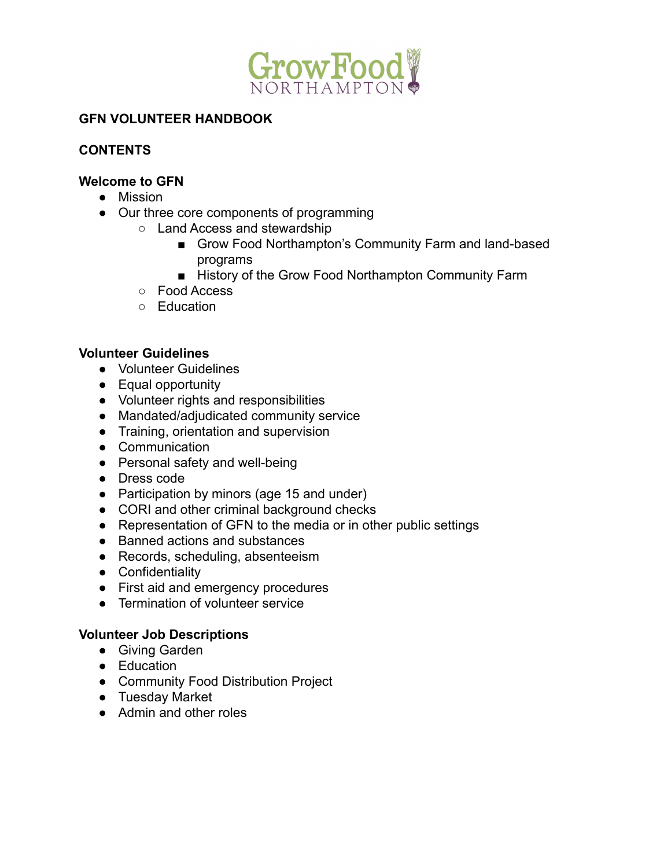

### **GFN VOLUNTEER HANDBOOK**

# **CONTENTS**

### **Welcome to GFN**

- Mission
- Our three core components of programming
	- Land Access and stewardship
		- Grow Food Northampton's Community Farm and land-based programs
		- History of the Grow Food Northampton Community Farm
		- Food Access
		- Education

### **Volunteer Guidelines**

- Volunteer Guidelines
- Equal opportunity
- Volunteer rights and responsibilities
- Mandated/adjudicated community service
- Training, orientation and supervision
- Communication
- Personal safety and well-being
- Dress code
- Participation by minors (age 15 and under)
- CORI and other criminal background checks
- Representation of GFN to the media or in other public settings
- Banned actions and substances
- Records, scheduling, absenteeism
- Confidentiality
- First aid and emergency procedures
- Termination of volunteer service

#### **Volunteer Job Descriptions**

- Giving Garden
- Education
- Community Food Distribution Project
- Tuesday Market
- Admin and other roles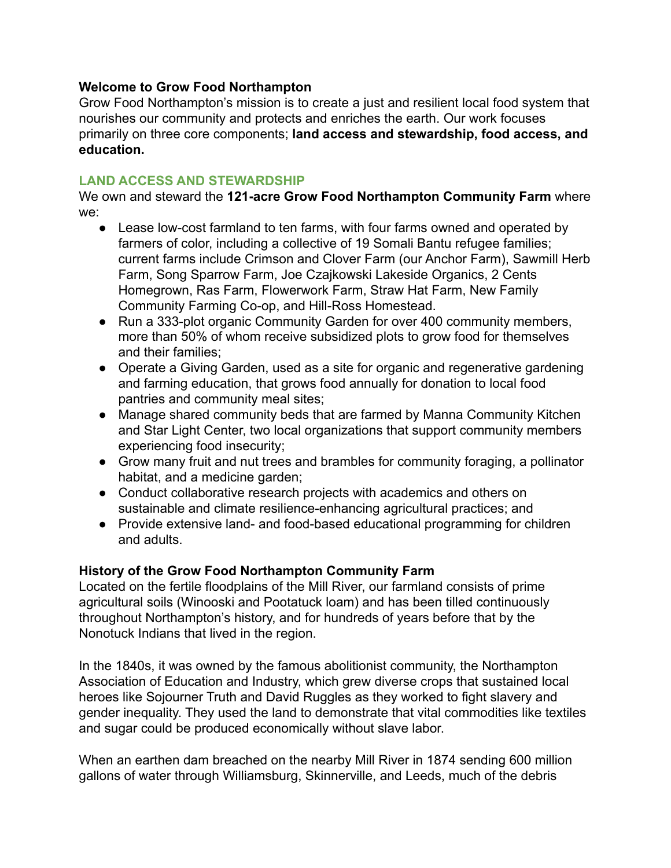#### **Welcome to Grow Food Northampton**

Grow Food Northampton's mission is to create a just and resilient local food system that nourishes our community and protects and enriches the earth. Our work focuses primarily on three core components; **land access and stewardship, food access, and education.**

#### **LAND ACCESS AND STEWARDSHIP**

We own and steward the **121-acre Grow Food Northampton Community Farm** where we:

- Lease low-cost farmland to ten farms, with four farms owned and operated by farmers of color, including a collective of 19 Somali Bantu refugee families; current farms include Crimson and Clover Farm (our Anchor Farm), Sawmill Herb Farm, Song Sparrow Farm, Joe Czajkowski Lakeside Organics, 2 Cents Homegrown, Ras Farm, Flowerwork Farm, Straw Hat Farm, New Family Community Farming Co-op, and Hill-Ross Homestead.
- Run a 333-plot organic Community Garden for over 400 community members, more than 50% of whom receive subsidized plots to grow food for themselves and their families;
- Operate a Giving Garden, used as a site for organic and regenerative gardening and farming education, that grows food annually for donation to local food pantries and community meal sites;
- Manage shared community beds that are farmed by Manna Community Kitchen and Star Light Center, two local organizations that support community members experiencing food insecurity;
- Grow many fruit and nut trees and brambles for community foraging, a pollinator habitat, and a medicine garden;
- Conduct collaborative research projects with academics and others on sustainable and climate resilience-enhancing agricultural practices; and
- Provide extensive land- and food-based educational programming for children and adults.

### **History of the Grow Food Northampton Community Farm**

Located on the fertile floodplains of the Mill River, our farmland consists of prime agricultural soils (Winooski and Pootatuck loam) and has been tilled continuously throughout Northampton's history, and for hundreds of years before that by the Nonotuck Indians that lived in the region.

In the 1840s, it was owned by the famous abolitionist community, the Northampton Association of Education and Industry, which grew diverse crops that sustained local heroes like Sojourner Truth and David Ruggles as they worked to fight slavery and gender inequality. They used the land to demonstrate that vital commodities like textiles and sugar could be produced economically without slave labor.

When an earthen dam breached on the nearby Mill River in 1874 sending 600 million gallons of water through Williamsburg, Skinnerville, and Leeds, much of the debris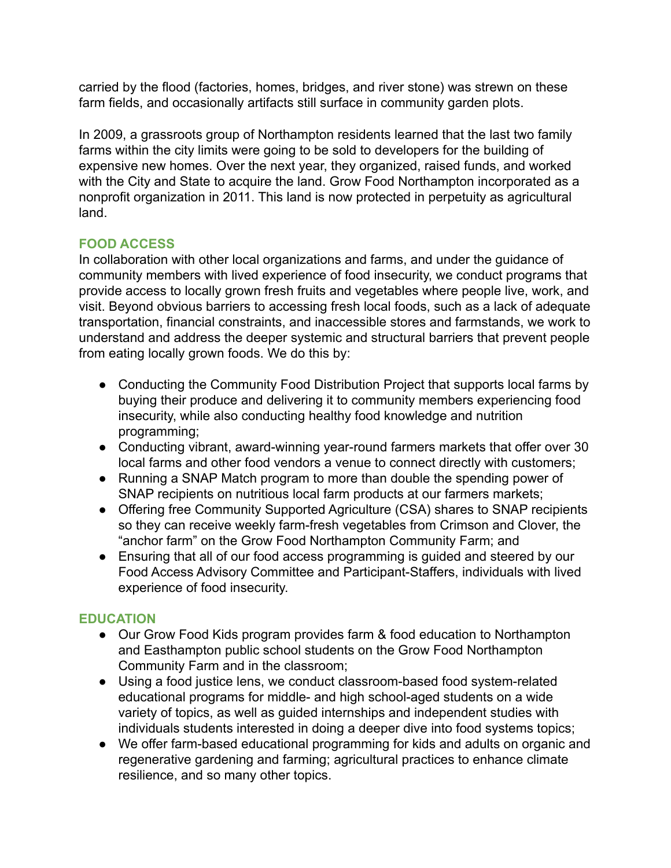carried by the flood (factories, homes, bridges, and river stone) was strewn on these farm fields, and occasionally artifacts still surface in community garden plots.

In 2009, a grassroots group of Northampton residents learned that the last two family farms within the city limits were going to be sold to developers for the building of expensive new homes. Over the next year, they organized, raised funds, and worked with the City and State to acquire the land. Grow Food Northampton incorporated as a nonprofit organization in 2011. This land is now protected in perpetuity as agricultural land.

### **FOOD ACCESS**

In collaboration with other local organizations and farms, and under the guidance of community members with lived experience of food insecurity, we conduct programs that provide access to locally grown fresh fruits and vegetables where people live, work, and visit. Beyond obvious barriers to accessing fresh local foods, such as a lack of adequate transportation, financial constraints, and inaccessible stores and farmstands, we work to understand and address the deeper systemic and structural barriers that prevent people from eating locally grown foods. We do this by:

- Conducting the Community Food Distribution Project that supports local farms by buying their produce and delivering it to community members experiencing food insecurity, while also conducting healthy food knowledge and nutrition programming;
- Conducting vibrant, award-winning year-round farmers markets that offer over 30 local farms and other food vendors a venue to connect directly with customers;
- Running a SNAP Match program to more than double the spending power of SNAP recipients on nutritious local farm products at our farmers markets;
- Offering free Community Supported Agriculture (CSA) shares to SNAP recipients so they can receive weekly farm-fresh vegetables from Crimson and Clover, the "anchor farm" on the Grow Food Northampton Community Farm; and
- Ensuring that all of our food access programming is guided and steered by our Food Access Advisory Committee and Participant-Staffers, individuals with lived experience of food insecurity.

### **EDUCATION**

- **●** Our Grow Food Kids program provides farm & food education to Northampton and Easthampton public school students on the Grow Food Northampton Community Farm and in the classroom;
- Using a food justice lens, we conduct classroom-based food system-related educational programs for middle- and high school-aged students on a wide variety of topics, as well as guided internships and independent studies with individuals students interested in doing a deeper dive into food systems topics;
- **●** We offer farm-based educational programming for kids and adults on organic and regenerative gardening and farming; agricultural practices to enhance climate resilience, and so many other topics.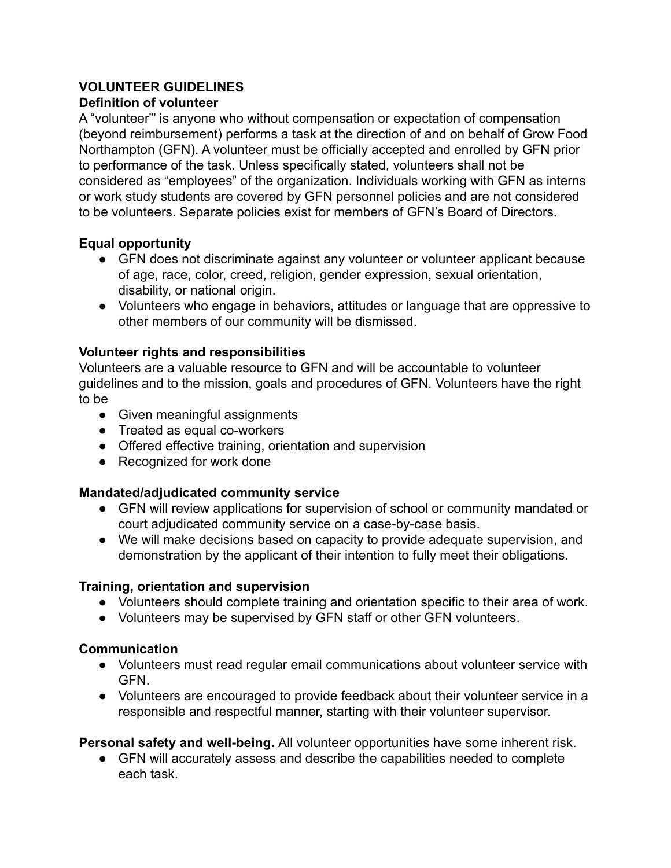# **VOLUNTEER GUIDELINES**

### **Definition of volunteer**

A "volunteer"' is anyone who without compensation or expectation of compensation (beyond reimbursement) performs a task at the direction of and on behalf of Grow Food Northampton (GFN). A volunteer must be officially accepted and enrolled by GFN prior to performance of the task. Unless specifically stated, volunteers shall not be considered as "employees" of the organization. Individuals working with GFN as interns or work study students are covered by GFN personnel policies and are not considered to be volunteers. Separate policies exist for members of GFN's Board of Directors.

### **Equal opportunity**

- GFN does not discriminate against any volunteer or volunteer applicant because of age, race, color, creed, religion, gender expression, sexual orientation, disability, or national origin.
- Volunteers who engage in behaviors, attitudes or language that are oppressive to other members of our community will be dismissed.

### **Volunteer rights and responsibilities**

Volunteers are a valuable resource to GFN and will be accountable to volunteer guidelines and to the mission, goals and procedures of GFN. Volunteers have the right to be

- Given meaningful assignments
- Treated as equal co-workers
- Offered effective training, orientation and supervision
- Recognized for work done

### **Mandated/adjudicated community service**

- GFN will review applications for supervision of school or community mandated or court adjudicated community service on a case-by-case basis.
- We will make decisions based on capacity to provide adequate supervision, and demonstration by the applicant of their intention to fully meet their obligations.

### **Training, orientation and supervision**

- Volunteers should complete training and orientation specific to their area of work.
- Volunteers may be supervised by GFN staff or other GFN volunteers.

# **Communication**

- Volunteers must read regular email communications about volunteer service with GFN.
- Volunteers are encouraged to provide feedback about their volunteer service in a responsible and respectful manner, starting with their volunteer supervisor.

### **Personal safety and well-being.** All volunteer opportunities have some inherent risk.

● GFN will accurately assess and describe the capabilities needed to complete each task.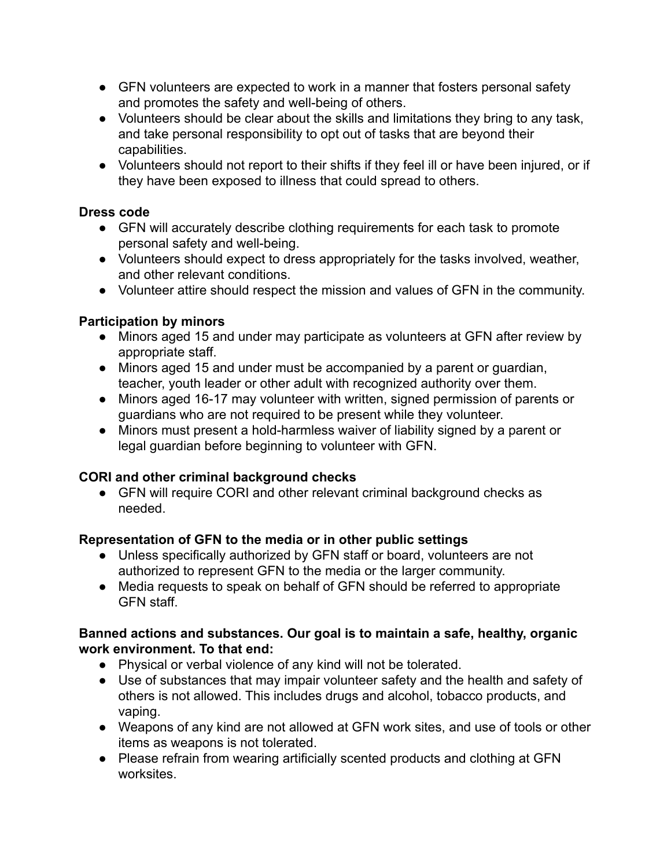- GFN volunteers are expected to work in a manner that fosters personal safety and promotes the safety and well-being of others.
- Volunteers should be clear about the skills and limitations they bring to any task, and take personal responsibility to opt out of tasks that are beyond their capabilities.
- Volunteers should not report to their shifts if they feel ill or have been injured, or if they have been exposed to illness that could spread to others.

### **Dress code**

- GFN will accurately describe clothing requirements for each task to promote personal safety and well-being.
- Volunteers should expect to dress appropriately for the tasks involved, weather, and other relevant conditions.
- Volunteer attire should respect the mission and values of GFN in the community.

# **Participation by minors**

- Minors aged 15 and under may participate as volunteers at GFN after review by appropriate staff.
- Minors aged 15 and under must be accompanied by a parent or quardian, teacher, youth leader or other adult with recognized authority over them.
- Minors aged 16-17 may volunteer with written, signed permission of parents or guardians who are not required to be present while they volunteer.
- Minors must present a hold-harmless waiver of liability signed by a parent or legal guardian before beginning to volunteer with GFN.

# **CORI and other criminal background checks**

• GFN will require CORI and other relevant criminal background checks as needed.

# **Representation of GFN to the media or in other public settings**

- Unless specifically authorized by GFN staff or board, volunteers are not authorized to represent GFN to the media or the larger community.
- Media requests to speak on behalf of GFN should be referred to appropriate GFN staff.

#### **Banned actions and substances. Our goal is to maintain a safe, healthy, organic work environment. To that end:**

- Physical or verbal violence of any kind will not be tolerated.
- Use of substances that may impair volunteer safety and the health and safety of others is not allowed. This includes drugs and alcohol, tobacco products, and vaping.
- Weapons of any kind are not allowed at GFN work sites, and use of tools or other items as weapons is not tolerated.
- Please refrain from wearing artificially scented products and clothing at GFN worksites.